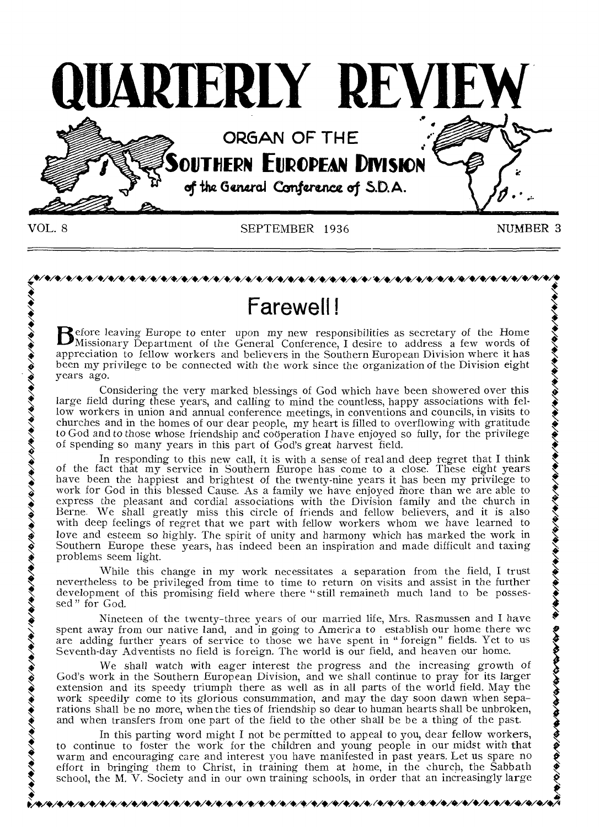

VOL. 8 SEPTEMBER 1936

NUMBER 3

•<br>•<br>•

 $\frac{\phi}{\phi}$ 

# *,././././././././././././././././././..././././././././...,* **.././././././././.././../.././././././. • •**

• Essential COLONSINIII as secretary of the Home by Horse in Before leaving Europe to enter upon my new responsibilities as secretary of the Home  $\bullet$  Missionary Department of the General Conference, I desire to address a  $\sum$  Missionary Department of the General Conference, I desire to address a few words of appreciation to fellow workers and believers in the Southern European Division where it has appreciation to fellow workers and believers in the Southern European Division where it has been my privilege to be connected with the work since the organization of the Division eight years ago.

Considering the very marked blessings of God which have been showered over this large field during these years, and calling to mind the countless, happy associations with fellow workers in union and annual conference meeti churches and in the homes of our dear people, my heart is filled to overflowing with gratitude to God and to those whose friendship and cooperation I have enjoyed so fully, for the privilege of spending so many years in this part of God's great harvest field. **EXECUTE:**<br> **EXECUTE:**<br> **EXECUTE:**<br> **EXECUTE:**<br> **EXECUTE:**<br> **EXECUTE:**<br> **EXECUTE:**<br> **EXECUTE:**<br> **EXECUTE:**<br> **EXECUTE:**<br> **EXECUTE:**<br> **EXECUTE:**<br> **EXECUTE:**<br> **EXECUTE:**<br> **EXECUTE:**<br> **EXECUTE:**<br> **EXECUTE:**<br> **EXECUTE:**<br> **EXEC** 

 $\lambda$  of the fact that my service in Southern Europe has come to a close. These eight years have been the happiest and brightest of the twenty-nine years it has been my privilege to  $\lambda$ nave been the happlest and brightest of the twenty-nine years it has been my privilege to<br>work for God in this blessed Cause. As a family we have enjoyed more than we are able to<br>express the pleasant and cordial associatio Berne. We shall greatly miss this circle of friends and fellow believers, and it is also with deep feelings of regret that we part with fellow workers whom we have learned to with deep feelings of regret that we part with fellow workers whom we have learned to love and esteem so highly. The spirit of unity and harmony which has marked the work in Southern Europe these years, has indeed been an inspiration and made difficult and taxing problems seem light. Southern Europe these years, has indeed been an inspiration and made difficult and taxing o God and to those<br>
of spending so ma<br>
of the fact that i<br>
have been the ha<br>
work for God in t<br>
express the pleas<br>
Berne. We shall<br>
love and esteem<br>
Southern Europe<br>
problems seem lig<br>
while the<br>
nevertheless to be<br>
devel

While this change in my work necessitates a separation from the field, I trust nevertheless to be privileged from time to time to return on visits and assist in the further development of this promising field where there " development of this promising field where there "still remaineth much land to be posses-

Nineteen of the twenty-three years of our married life, Mrs. Rasmussen and I have  $\sum_{n=1}^{\infty}$  spent away from our native land, and in going to America to establish our home there we sed" for God.<br>
Nineteen of the twenty-three years of our married life, Mrs. Rasmussen and I have<br>
spent away from our native land, and in going to America to establish our home there we<br>
are adding further years of service

We shall watch with eager interest the progress and the increasing growth of God's work in the Southern European Division, and we shall continue to pray for its larger extension and its speedy triumph there as well as in all parts of the world field. May the God's work in the Southern European Division, and we shall continue to pray for its larger<br>extension and its speedy triumph there as well as in all parts of the world field. May the<br>work speedily come to its glorious consu and when transfers from one part of the field to the other shall be be a thing of the past. Fraction of this continue that the method. The method of the first the children and the the set of the work for God.<br>
See all the work for the work for the work for the work for the work of the spont away from our native l

In this parting word might I not be permitted to appeal to you, dear fellow workers, to continue to foster the work for the children and young people in our midst with that warm and encouraging care and interest you have manifested in past years. Let us spare no warm and encouraging care and interest you have manifested in past years. Let us spare no<br>effort in bringing them to Christ, in training them at home, in the church, the Sabbath<br>school, the M. V. Society and in our own tra school, the M. V. Society and in our own training schools, in order that an increasingly large

to/\*/40/41/41/41/\*/\*/././•/•7./\*/\*/\*/\*/\*/\*/\*/•,/o/9/1/\*/+/+/././././szoo, (ozo/././+/•/4/4v4./4v4vo/o/o/o/o/o/4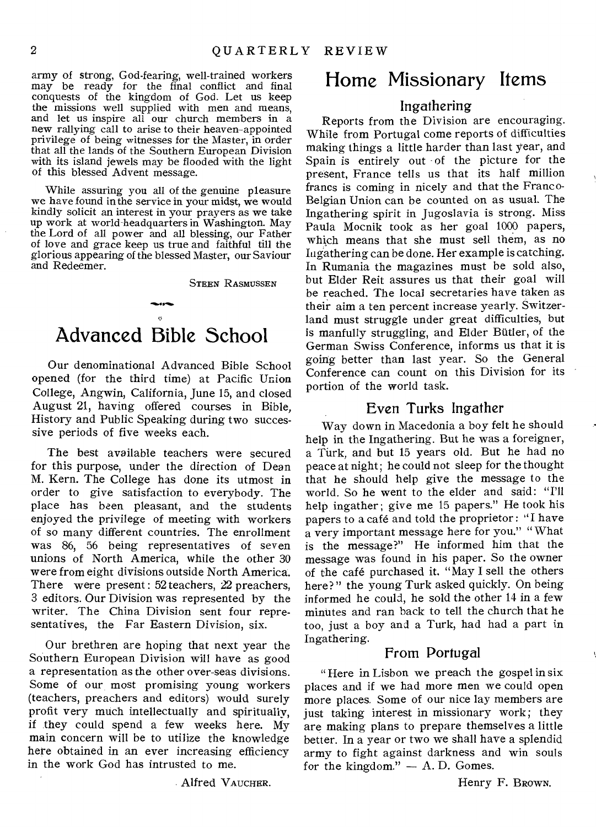army of strong, God-fearing, well-trained workers may be ready for the final conflict and final conquests of the kingdom of God. Let us keep the missions well supplied with men and means, and let us inspire all our church members in a new rallying call to arise to their heaven-appointed privilege of being witnesses for the Master, in order that all the lands of the Southern European Division with its island jewels may be flooded with the light of this blessed Advent message.

While assuring you all of the genuine pleasure we have found in the service in your midst, we would kindly solicit an interest in your prayers as we take up work at world-headquarters in Washington. May the Lord of all power and all blessing, our Father of love and grace keep us true and faithful till the glorious appearing of the blessed Master, our Saviour and Redeemer.

STEEN RASMUSSEN

# Advanced Bible School

Our denominational Advanced Bible School opened (for the third time) at Pacific Union College, Angwin, California, June 15, and closed August 21, having offered courses in Bible, History and Public Speaking during two successive periods of five weeks each.

The best available teachers were secured for this purpose, under the direction of Dean M. Kern. The College has done its utmost in order to give satisfaction to everybody. The place has been pleasant, and the students enjoyed the privilege of meeting with workers of so many different countries. The enrollment was 86, 56 being representatives of seven unions of North America, while the other 30 were from eight divisions outside North America. There were present: 52 teachers, 22 preachers, 3 editors. Our Division was represented by the writer. The China Division sent four representatives, the Far Eastern Division, six.

Our brethren are hoping that next year the Southern European Division will have as good a representation as the other over-seas divisions. Some of our most promising young workers (teachers, preachers and editors) would surely profit very much intellectually and spiritually, if they could spend a few weeks here. My main concern will be to utilize the knowledge here obtained in an ever increasing efficiency in the work God has intrusted to me.

Alfred VAUCHER.

## Home Missionary Items

#### Ingathering

Reports from the Division are encouraging. While from Portugal come reports of difficulties making things a little harder than last year, and Spain is entirely out of the picture for the present, France tells us that its half million francs is coming in nicely and that the Franco-Belgian Union can be counted on as usual. The Ingathering spirit in Jugoslavia is strong. Miss Paula Mocnik took as her goal 1000 papers, which means that she must sell them, as no Ingathering can be done. Her example is catching. In Rumania the magazines must be sold also, but Elder Reit assures us that their goal will be reached. The local secretaries have taken as their aim a ten percent increase yearly. Switzerland must struggle under great difficulties, but is manfully struggling, and Elder Butler, of the German Swiss Conference, informs us that it is going better than last year. So the General Conference can count on this Division for its portion of the world task.

#### Even Turks Ingather

Way down in Macedonia a boy felt he should help in the Ingathering. But he was a foreigner, a Turk, and but 15 years old. But he had no peace at night; he could not sleep for the thought that he should help give the message to the world. So he went to the elder and said: "I'll help ingather ; give me 15 papers." He took his papers to a café and told the proprietor : "I have a very important message here for you." " What is the message?" He informed him that the message was found in his paper. So the owner of the café purchased it. "May I sell the others here?" the young Turk asked quickly. On being informed he could, he sold the other 14 in a few minutes and ran back to tell the church that he too, just a boy and a Turk, had had a part in Ingathering.

#### From Portugal

" Here in Lisbon we preach the gospel in six places and if we had more men we could open more places. Some of our nice lay members are just taking interest in missionary work; they are making plans to prepare themselves a little better. In a year or two we shall have a splendid army to fight against darkness and win souls for the kingdom."  $- A$ . D. Gomes.

Henry F. BROWN.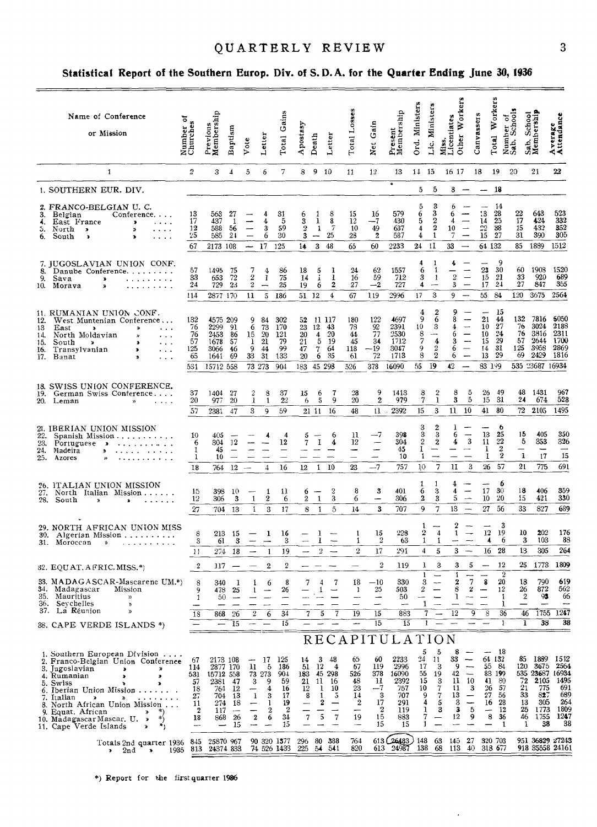## QUARTERLY REVIEW

#### Statistical Report of the Southern Europ. Div. of S.D.A. for the Quarter Ending June 30, 1936

| Name of Conference<br>ᢌ<br>or Mission                                                                                                                                                                                                                                                                                                                  | Number o<br>Churches                                                    | Previous<br>Membership                                           | Baptism                                                                     | Vote                                                | Letter                                                                           | Gains<br><b>Total</b>                                                          | Apostasy                                                                       | Death                                                            | Letter                                                              | Total Losses                                                                                       | Gain<br>Net                                               | Present<br>Membership                                                                    | Ord. Ministers                                                            | Lic. Ministers                                                                                | Other Workers<br>Miss.<br>Licentiates                                 |                                                               | Canvassers                                 | Total Workers                                                                   | Number of<br>Sab. Schools                            | Sab. School<br>Membership                                                  | Average<br>Attendance                                                              |
|--------------------------------------------------------------------------------------------------------------------------------------------------------------------------------------------------------------------------------------------------------------------------------------------------------------------------------------------------------|-------------------------------------------------------------------------|------------------------------------------------------------------|-----------------------------------------------------------------------------|-----------------------------------------------------|----------------------------------------------------------------------------------|--------------------------------------------------------------------------------|--------------------------------------------------------------------------------|------------------------------------------------------------------|---------------------------------------------------------------------|----------------------------------------------------------------------------------------------------|-----------------------------------------------------------|------------------------------------------------------------------------------------------|---------------------------------------------------------------------------|-----------------------------------------------------------------------------------------------|-----------------------------------------------------------------------|---------------------------------------------------------------|--------------------------------------------|---------------------------------------------------------------------------------|------------------------------------------------------|----------------------------------------------------------------------------|------------------------------------------------------------------------------------|
| 1                                                                                                                                                                                                                                                                                                                                                      | $\boldsymbol{2}$                                                        | 3                                                                | 4                                                                           | 5                                                   | 6                                                                                | 7                                                                              | 8                                                                              | 9 10                                                             |                                                                     | 11                                                                                                 | $12\,$                                                    | 13                                                                                       | 14 15                                                                     |                                                                                               | 16 17                                                                 |                                                               | 18                                         | 19                                                                              | 20                                                   | 21                                                                         | 22                                                                                 |
| 1. SOUTHERN EUR. DIV.                                                                                                                                                                                                                                                                                                                                  |                                                                         |                                                                  |                                                                             |                                                     |                                                                                  |                                                                                |                                                                                |                                                                  |                                                                     |                                                                                                    |                                                           | $\bullet$                                                                                | 5                                                                         | 5                                                                                             |                                                                       | $8 -$                                                         | $-18$                                      |                                                                                 |                                                      |                                                                            |                                                                                    |
| 2. FRANCO-BELGIAN U. C.<br>3.<br>Belgian<br>Conference.<br>East France<br>4.<br>$\mathbf{r}$<br>$\cdots$<br>North ><br>ъ.<br>×,<br>.<br>6.<br>South<br>Þ<br>$\pmb{\ast}$<br>.                                                                                                                                                                          | 13<br>17<br>12<br>25<br>67                                              | 563<br>437<br>588<br>585<br>2173 108                             | 27<br>-1<br>56<br>24                                                        | $\equiv$<br>$-17$                                   | 4<br>4<br>3<br>6                                                                 | 31<br>5<br>59<br>30<br>125                                                     | 6<br>3<br>2<br>3<br>14                                                         | 1<br>ı<br>$\mathbf{1}$<br>$\overline{\phantom{m}}$<br>$\bf{3}$   | 8<br>8<br>$\overline{7}$<br>25<br>48                                | 15<br>$^{12}$<br>10<br>28<br>65                                                                    | 16<br>--7<br>49<br>2<br>60                                | 579<br>430<br>637<br>587<br>2233                                                         | 5<br>6<br>5<br>4<br>4<br>24                                               | 3<br>3<br>$\boldsymbol{2}$<br>$\boldsymbol{2}$<br>$\mathbf{1}$<br>11                          | 6<br>6<br>4<br>10<br>7<br>33                                          | $\overline{\phantom{m}}$<br>$\longrightarrow$                 | 13<br>14<br>$\frac{22}{15}$<br>64 132      | 14<br>28<br>25<br>38<br>- 27                                                    | 22<br>17<br>15<br>31<br>85                           | 643<br>424<br>432<br>390<br>1889                                           | 523<br>332<br>352<br>305<br>1512                                                   |
| 7. JUGOSLAVIAN UNION CONF.<br>8.<br>Danube Conference.<br>9.<br>Sava<br>$\ast$<br>10. Morava<br>X)                                                                                                                                                                                                                                                     | 57<br>33<br>24<br>114                                                   | 1495<br>653<br>729<br>2877 170                                   | 75<br>72<br>23                                                              | 7<br>2<br>$\overline{2}$<br>11                      | 4<br>$\mathbf{I}$<br>$\overline{\phantom{m}}$<br>5.                              | 86<br>75<br>25<br>-186                                                         | 18<br>14<br>19<br>51 12                                                        | 5<br>Ä.<br>6                                                     | 1<br>1<br>$\overline{\mathbf{2}}$<br>$\overline{4}$                 | 24<br>16<br>27<br>67                                                                               | 62<br>59<br>$-2$<br>119                                   | 1557<br>712<br>727<br>2996                                                               | 4<br>6<br>3<br>4<br>17                                                    | -1<br>-1<br>1<br>$\overline{\phantom{a}}$<br>3                                                | 4<br>$\,2\,$<br>3<br>9                                                | $\overline{\phantom{0}}$<br>$\overline{\phantom{m}}$          | 23<br>15<br>17<br>55                       | 9<br>30<br>-21<br>-24<br>84                                                     | 60<br>33<br>27<br>120                                | 1908<br>920<br>847<br>3675                                                 | 1520<br>689<br>355<br>2564                                                         |
| 11. RUMANIAN UNION CONF.<br>West Muntenian Conference<br>12.<br>13<br>East<br>$\lambda$<br>≫<br>$\sim$ $\sim$ $\sim$<br>North Moldavian<br>14.<br>$\cdots$<br>South<br>15.<br>- 9<br>×<br>$\cdots$<br>16.<br>Transylvanian<br>ъ<br>$\sim$ $\sim$ $\sim$<br>17.<br>Banat<br>$\ddotsc$                                                                   | 132<br>76<br>76<br>57<br>125<br>65<br>531                               | 4575 209<br>2299<br>2453<br>1678<br>3066<br>1641<br>15712 558    | 91<br>86<br>57<br>-46<br>69                                                 | 9<br>$\overline{6}$<br>15<br>1<br>9<br>33<br>73 273 | 84<br>73<br>-20<br>21<br>44<br>31                                                | 302<br>170<br>- 121<br>79<br>99<br>133<br>904                                  | 52<br>23<br>20<br>21<br>47<br>20<br>183                                        | 11 117<br>12<br>$\frac{4}{3}$<br>5<br>$7^{\circ}$<br>6<br>45 298 | 43<br>20<br>- 19<br>64<br>35                                        | 180<br>78<br>44<br>45<br>118<br>61<br>526                                                          | 122<br>92<br>77<br>34<br>$-19$<br>72<br>378               | 4697<br>2391<br>2530<br>1712<br>3047<br>1713<br>16090                                    | 4<br>9<br>10<br>$\frac{8}{7}$<br>9<br>8<br>55                             | 2<br>6<br>3<br>4<br>$\rm{2}$<br>$\overline{2}$<br>19                                          | 9<br>8<br>4<br>6<br>3<br>6<br>6<br>42                                 | $\overline{\phantom{a}}$<br>$\overline{\phantom{m}}$          | 21<br>10<br>10<br>15<br>14<br>13<br>83 199 | -15<br>44<br>27<br>24<br>- 29<br>- 31<br>-29                                    | 132<br>76<br>76<br>57<br>125<br>69                   | 7816<br>3024<br>3816<br>2644<br>3958<br>2429<br>535 23687 16934            | 6050<br>2188<br>2311<br>1700<br>2869<br>1816                                       |
| 18. SWISS UNION CONFERENCE.<br>19.<br>German Swiss Conference<br>20.<br>Leman<br>$\mathcal{Y}$<br>$\cdots$                                                                                                                                                                                                                                             | 37<br>20<br>57                                                          | 1404<br>977<br>2381                                              | 27<br>20<br>47                                                              | 2<br>ı<br>3                                         | 8<br>1<br>9                                                                      | 37<br>22<br>59                                                                 | 15<br>6                                                                        | 6<br>5<br>21 11                                                  | 7<br>9<br>-16                                                       | 28<br>20<br>48                                                                                     | 9<br>$\overline{2}$<br>11                                 | 1413<br>979<br>$-2392$                                                                   | $\frac{8}{7}$<br>15                                                       | $\frac{2}{1}$<br>3                                                                            | 8<br>3<br>11                                                          | 5<br>5<br>- 10                                                | 26<br>15<br>41                             | 49<br>31<br>80                                                                  | 48<br>24<br>72                                       | 1431<br>674<br>2105                                                        | 967<br>528<br>1495                                                                 |
| 21. IBERIAN UNION MISSION<br>22.<br>Spanish Mission<br>23.<br>Portuguese »<br>$\mathbf{v} = \mathbf{v} + \mathbf{v} + \mathbf{v} + \mathbf{v} + \mathbf{v} + \mathbf{v} + \mathbf{v}$<br>24.<br>Madeira<br>»<br>25.<br>Azores                                                                                                                          | 10<br>6<br>1<br>1<br>18                                                 | 405<br>304<br>45<br>10<br>764                                    | 12<br>$\qquad \qquad -$<br>$\overline{\phantom{0}}$<br>12                   | $\sim$                                              | $\overline{4}$                                                                   | 4<br>12<br>$\qquad \qquad -$<br>16                                             | 5<br>7<br>12                                                                   | 1<br>$\mathbf{1}$                                                | 6<br>4<br>-10                                                       | 11<br>12<br>÷<br>23                                                                                | --7<br>---7                                               | 398<br>304<br>45<br>10<br>757                                                            | 3<br>3<br>$\,2$<br>1<br>1<br>10                                           | $\overline{2}$<br>3<br>$\boldsymbol{2}$<br>—<br>7                                             | 1<br>6<br>4<br>1I                                                     | ----<br>3<br>-<br>3                                           | 13<br>11<br>1<br>1                         | 6<br>25<br>22<br>$\frac{2}{2}$<br>26 57                                         | 15<br>5<br>—<br>1<br>21                              | 405<br>353<br>17<br>775                                                    | 350<br>326<br>15<br>691                                                            |
| 26. ITALIAN UNION MISSION<br>27. North Italian Mission<br>28.<br>South<br>*<br>,<br>.                                                                                                                                                                                                                                                                  | 15<br>12<br>27                                                          | 398<br>306                                                       | -10<br>3<br>704 13                                                          | 1<br>$\mathbf{1}$                                   | 1<br>$\boldsymbol{2}$<br>3                                                       | 11<br>6<br>17                                                                  | 6<br>2<br>8                                                                    | $\mathbf{1}$<br>$\mathbf{1}$                                     | 2<br>3<br>$\ddot{\circ}$                                            | 8<br>6<br>14                                                                                       | 3<br>-<br>3                                               | 401<br>306<br>707                                                                        | 1<br>6<br>$\boldsymbol{2}$<br>9                                           | 1<br>3<br>3<br>7                                                                              | 4<br>4<br>5<br>13                                                     | -<br>$\overbrace{\qquad \qquad }$<br>$\overline{\phantom{0}}$ | 17 <sub>17</sub><br>10                     | 6<br>30<br>20<br>27 56                                                          | 18<br>15<br>33                                       | 406<br>421<br>827                                                          | 359<br>330<br>689                                                                  |
| 29. NORTH AFRICAN UNION MISS<br>30.<br>Algerian Mission<br>31.<br>Moroccan<br>$\boldsymbol{\lambda}$<br>.                                                                                                                                                                                                                                              | 8<br>3<br>-11                                                           | 213<br>61<br>274                                                 | -15<br>3<br>18                                                              |                                                     | 1<br>-1                                                                          | 16<br>3<br>19                                                                  |                                                                                | ı<br>ı<br>$\overline{2}$                                         |                                                                     | $\mathbf{1}$<br>1<br>$\overline{2}$                                                                | 15<br>$\boldsymbol{2}$<br>17                              | 228<br>63<br>291                                                                         | 1<br>2<br>1<br>$\overline{\mathbf{4}}$                                    | 4<br>1<br>5                                                                                   | 2<br>1<br>3                                                           | $\rightarrow$<br>$\overline{\phantom{a}}$                     | $12^{\circ}$<br>4                          | 3<br>19<br>6<br>16 28                                                           | 10<br>3<br>13                                        | 202<br>103<br>305                                                          | 176<br>88<br>264                                                                   |
| 32. EQUAT. AFRIC. MISS.*)                                                                                                                                                                                                                                                                                                                              | $\boldsymbol{2}$                                                        | 117                                                              |                                                                             |                                                     | $\mathbf{2}$                                                                     | $\overline{c}$                                                                 |                                                                                |                                                                  |                                                                     |                                                                                                    | 2                                                         | 119                                                                                      | ı<br>$\mathbf{1}$                                                         | 3<br>$\overline{\phantom{a}}$                                                                 | 3<br>$\mathbf{I}$                                                     | 5<br>$\overline{\phantom{0}}$                                 | -                                          | 12<br>$\overline{2}$                                                            | 25                                                   | 1773                                                                       | 1809                                                                               |
| 33. MADAGASCAR-Mascarene UM.*)<br>34. Madagascar - Mission<br>35.<br>Mauritius<br>))<br>Seychelles<br>36.<br>D<br>La Réunion<br>37.<br>$\mathcal{D}$                                                                                                                                                                                                   | 8<br>9<br>1<br>18                                                       | 340<br>478<br>50<br>868                                          | - 1<br>25<br>26                                                             | 1<br>1<br>2                                         | 6<br>6                                                                           | 8<br>26<br>34                                                                  | $7^{\circ}$<br>7                                                               | $\overline{4}$<br>5                                              | $\overline{7}$<br>7                                                 | 18<br>- 1<br>19                                                                                    | $-10$<br>25<br>15                                         | 330<br>503<br>50<br>883                                                                  | 3<br>$\overline{2}$<br>1<br>7                                             | $\sim$                                                                                        | 2<br>8<br>1<br>12                                                     | 7<br>2<br>9                                                   | 8<br>8                                     | 20<br>12<br>1<br>1<br>36                                                        | 18<br>26                                             | 790<br>872<br>$\,2$<br>93<br>1755<br>46                                    | 619<br>562<br>66<br>--<br>1247                                                     |
| 38. CAPE VERDE ISLANDS *)                                                                                                                                                                                                                                                                                                                              |                                                                         | $\overline{\phantom{0}}$                                         | -15                                                                         |                                                     |                                                                                  | 15                                                                             |                                                                                |                                                                  |                                                                     | ∽                                                                                                  | 15                                                        | 15                                                                                       |                                                                           | 1                                                                                             |                                                                       |                                                               |                                            | $\mathbf{1}$                                                                    |                                                      | ı<br>38                                                                    | 38                                                                                 |
| 1. Southern European Division<br>2. Franco-Belgian Union Conference<br>3. Jugoslavian<br>э<br>4. Rumanian<br>ъ<br>×<br>5. Swiss<br>$\rightarrow$<br>6. Iberian Union Mission.<br>7. Italian<br>$\mathbf{a}$<br>8. North African Union Mission<br>9. Equat. African<br>≫<br>*)<br>10. Madagascar Mascar. U. »<br>11. Cape Verde Islands<br>$\pmb{\ast}$ | 67<br>114<br>531<br>57<br>18<br>27<br>11<br>$\boldsymbol{2}$<br>18<br>- | 2173 108<br>15712 558<br>2381<br>764<br>704<br>274<br>117<br>868 | 2877 170<br>-47<br>12<br>- 13<br>18<br>$\overline{\phantom{a}}$<br>26<br>15 | n<br>3<br>--<br>1<br>—<br>$\bf{2}$                  | $-17$<br>5<br>73 273<br>9<br>$\boldsymbol{4}$<br>3<br>1<br>$\boldsymbol{2}$<br>6 | 125<br>-186<br>904<br>59<br>16<br>17<br>19<br>$\boldsymbol{2}$<br>34<br>$15\,$ | 14<br>51<br>183<br>21<br>12<br>8<br>$\overline{\phantom{a}}$<br>$\overline{7}$ | 3<br>$12\phantom{.0}$<br>11<br>ı<br>1<br>$\boldsymbol{2}$<br>5   | 48<br>4<br>45 298<br>- 16<br>10<br>$\ddot{\circ}$<br>$\overline{7}$ | 65<br>67<br>526<br>48<br>23<br>$\overline{14}$<br>$\overline{2}$<br>$\overline{\phantom{0}}$<br>19 | 60<br>119<br>378<br>п<br>--7<br>3<br>17<br>-2<br>15<br>15 | RECAPITULATION<br>2233<br>2996<br>16090<br>2392<br>757<br>707<br>291<br>119<br>883<br>15 | 5<br>24<br>17<br>$\frac{55}{15}$<br>10<br>9<br>$\mathbf 4$<br>ı<br>7<br>1 | 5<br>11<br>3<br>$\begin{array}{c}\n 19 \\  3 \\  7\n \end{array}$<br>$\overline{7}$<br>5<br>3 | 8<br>33<br>9<br>42<br>$\mathbf{u}$<br>11<br>13<br>$\frac{3}{3}$<br>12 | --<br>10<br>3<br>-<br>—<br>$\,$ 5<br>9                        | 41<br>26<br>27<br>16<br>$\frac{1}{8}$<br>÷ | 18<br>64 132<br>55 84<br>83 199<br>$\frac{80}{57}$<br>56<br>28<br>12<br>36<br>1 | 85.<br>120<br>72<br>21<br>33<br>$\substack{13 \ 25}$ | 1889<br>3675<br>2105<br>775<br>827<br>305<br>1773<br>46<br>1755<br>38<br>1 | 1512<br>2564<br>535 23687 16934<br>1495<br>691<br>689<br>264<br>1809<br>1247<br>38 |
| Totals 2nd quarter 1936<br>1935<br>$\lambda$ 2nd<br>$\blacktriangleright$                                                                                                                                                                                                                                                                              | 845<br>813                                                              | 25870 967<br>24374 833                                           |                                                                             |                                                     |                                                                                  | 90 320 1377<br>74 526 1433 225 54 541                                          |                                                                                |                                                                  | 296 80 388                                                          | 764<br>820                                                                                         |                                                           | 613(26483)<br>613 24987 138 68                                                           | 148                                                                       | - 63                                                                                          | - 145                                                                 | -27                                                           | 113 40 318 677                             | 320 703                                                                         |                                                      |                                                                            | 951 36829 27243<br>918 35558 24161                                                 |

 $\cdot$ 

\*) Report for the first quarter 1986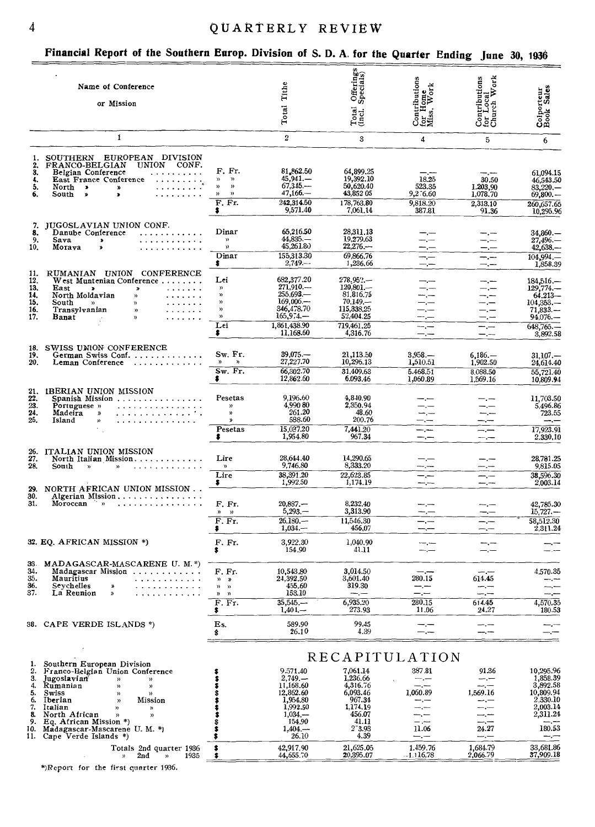## QUARTERLY REVIEW

#### Financial Report of the Southern Europ. Division of S. D. A. for the Quarter Ending Inne 30, 1936

|                                               |                                                                                                                                                                                                                                                                                                                                                                                                                                                                  |                                                                                                                               |                                                                                                  |                                                                                                | $\tau$ ------- $\sim$ -------                                                                             | June                                                                                          | טטפו <sub>נ</sub> טט                                                                 |
|-----------------------------------------------|------------------------------------------------------------------------------------------------------------------------------------------------------------------------------------------------------------------------------------------------------------------------------------------------------------------------------------------------------------------------------------------------------------------------------------------------------------------|-------------------------------------------------------------------------------------------------------------------------------|--------------------------------------------------------------------------------------------------|------------------------------------------------------------------------------------------------|-----------------------------------------------------------------------------------------------------------|-----------------------------------------------------------------------------------------------|--------------------------------------------------------------------------------------|
|                                               | Name of Conference                                                                                                                                                                                                                                                                                                                                                                                                                                               |                                                                                                                               | Tithe                                                                                            | Offerings<br>Specials)                                                                         |                                                                                                           |                                                                                               |                                                                                      |
|                                               | or Mission                                                                                                                                                                                                                                                                                                                                                                                                                                                       |                                                                                                                               | Total                                                                                            | Total<br>(Incl.                                                                                | $\begin{array}{c}\n \text{Continuous} \n \text{for Hom} \n \text{Hom} \n \text{Miss. Work}\n \end{array}$ | $\begin{array}{c} \text{Contributions} \\ \text{for Local} \\ \text{Church Work} \end{array}$ | Colporteur<br>Book Sales                                                             |
|                                               | 1                                                                                                                                                                                                                                                                                                                                                                                                                                                                |                                                                                                                               | $\overline{2}$                                                                                   | 3                                                                                              | 4                                                                                                         | 5                                                                                             | 6                                                                                    |
| 1.<br>2.<br>3.<br>4.<br>5.<br>6.              | SOUTHERN EUROPEAN DIVISION<br>FRANCO-BELGIAN<br>UNION CONF.<br>Belgian Conference<br>$\begin{array}{cccccccccccccc} . & . & . & . & . & . & . & . & . & . & . \end{array}$<br>East France Conference<br>. The contract of the contract of $\mathcal{A}$<br>.<br>North ><br>w<br>South<br>$\boldsymbol{\ast}$<br>$\bullet$                                                                                                                                        | F. Fr.<br>$\mathfrak{D}^-$<br>$\mathcal{D}$<br>$\boldsymbol{\mathcal{D}}$<br>$\mathcal{V}$<br>$\mathcal{D}$<br>$\mathfrak{p}$ | 81,862.50<br>$45.941-$<br>$67,345-$<br>$47,166-$                                                 | 64,899.25<br>19,392.10<br>50,620.40<br>43,852 05                                               | 18.25<br>523.35<br>9,276.60                                                                               | 30.50<br>1.203,90<br>1,078.70                                                                 | 61,094.15<br>46,543.50<br>$83,220-$<br>69,800.                                       |
|                                               |                                                                                                                                                                                                                                                                                                                                                                                                                                                                  | F. Fr.<br>\$                                                                                                                  | 242,314.50<br>9,571.40                                                                           | 178,763.80<br>7,061.14                                                                         | 9,818.20<br>387.81                                                                                        | 2,313.10<br>91.36                                                                             | 260,657.65<br>10,295.96                                                              |
| 7.<br>8.<br>9.<br>10.                         | JUGOSLAVIAN UNION CONF.<br>Danube Conference<br>.<br>Sava<br>. <i>.</i><br>$\pmb{\ast}$<br>Moraya<br>$\pmb{\mathcal{R}}$<br>. <i>.</i>                                                                                                                                                                                                                                                                                                                           | Dinar<br>$\mathcal{Y}$<br>$\mathcal{V}$<br>Dinar                                                                              | 65,216.50<br>$44,835-$<br>45,261.80<br>155,313.30                                                | 28,311.13<br>19,279.63<br>$22.276-$<br>69,866.76                                               | — <u>—</u>                                                                                                | ---                                                                                           | 34.860.—<br>$27,496-$<br>$42,638-$                                                   |
|                                               |                                                                                                                                                                                                                                                                                                                                                                                                                                                                  | \$.                                                                                                                           | $2.749-$                                                                                         | 1,236.66                                                                                       | —.—<br>$-$ . $-$                                                                                          | $-,-$                                                                                         | 104.994<br>1,858.39                                                                  |
| 11.<br>12.<br>13.<br>14.<br>15,<br>16.<br>17. | RUMANIAN UNION CONFERENCE<br>$W$ est Muntenian Conference $\ldots \ldots$ .<br>East<br>$\blacktriangleright$<br>.<br>$\boldsymbol{\mathsf{x}}$<br>North Moldavian<br>.<br>$\mathcal{V}$<br>South<br>$\begin{array}{cccccccccc} \bullet & \bullet & \bullet & \bullet & \bullet & \bullet & \bullet & \bullet & \bullet \end{array}$<br>$\mathbf{v}$<br>$\mathbf{v}$<br>Transylvanian<br>$\boldsymbol{\mathcal{D}}$<br>$\cdots$<br>Banat<br>$\rangle\rangle$<br>. | Lei<br>$\mathcal V$<br>))<br>$\boldsymbol{\mathcal{V}}$<br>))<br>$\mathcal{V}$<br>Lei                                         | 682,377.20<br>$271,910-$<br>$255,693-$<br>$169,006-$<br>346,478.70<br>$165,9.4-$<br>1,861,438.90 | $278,952--$<br>$120,801-$<br>81,816.75<br>$70,149, -$<br>115,338.25<br>52,404.25<br>719,461.25 | —. —<br>--.--                                                                                             | —.—                                                                                           | 184,516.—<br>$129,774-$<br>$64.213 -$<br>104,353<br>71,833<br>$94,076-$<br>648,765.- |
|                                               |                                                                                                                                                                                                                                                                                                                                                                                                                                                                  | \$                                                                                                                            | 11.168.60                                                                                        | 4,316.76                                                                                       | $-,-$                                                                                                     | —.—                                                                                           | 3,892.58                                                                             |
| 18.<br>19.<br>20.                             | SWISS UNION CONFERENCE<br>German Swiss Conf.<br>Leman Conference                                                                                                                                                                                                                                                                                                                                                                                                 | Sw. Fr.<br>))<br>$\mathcal{P}$<br>$Sw.$ Fr.<br>8                                                                              | $39,075-$<br>27,227.70<br>66,302.70<br>12,862.60                                                 | 21,113.50<br>10,296.13<br>31.409.63<br>6.093.46                                                | 3,958<br>1,510.51<br>5.468.51<br>1,060.89                                                                 | $6,186-$<br>1,902.50<br>8.088.50<br>1.569.16                                                  | $31.107-$<br>24,614.40<br>55,721.40<br>10,809.94                                     |
| 21.<br>22.<br>23.<br>24.<br>25.               | IBERIAN UNION MISSION<br>Spanish Mission<br>. <b>.</b> .<br>Portuguese »<br>.<br>Madeira<br>$\boldsymbol{\mathcal{D}}$<br>.<br>Island<br>$\mathcal{V}$                                                                                                                                                                                                                                                                                                           | Pesetas<br>)<br>))<br>$\boldsymbol{\mathsf{y}}$<br>Pesetas<br>\$                                                              | 9.196.60<br>4,990 80<br>261.20<br>588.60<br>15,037.20<br>1,954.80                                | 4,840.90<br>2,350.94<br>48.60<br>200.76<br>7,441.20<br>967.34                                  | — .—<br>—.—<br>--.---<br>—,—                                                                              | $-$ . $-$<br>$ -$                                                                             | 11,703.50<br>5,496.86<br>723.55<br>$-$<br>17,923.91<br>2.330,10                      |
| 26.<br>27.<br>28.                             | ITALIAN UNION MISSION<br>North Italian Mission<br>.<br>$South \rightarrow$<br>$\mathcal{Y}$                                                                                                                                                                                                                                                                                                                                                                      | Lire<br>$\mathbf{v}$<br>Lire                                                                                                  | 28,644.40<br>9,746.80<br>38,391.20                                                               | 14,290.65<br>8,333.20<br>22,623.85                                                             | $-,-$                                                                                                     | --.-                                                                                          | 28.781.25<br>9,815.05<br>38,596.30                                                   |
| 29.                                           | NORTH AFRICAN UNION MISSION                                                                                                                                                                                                                                                                                                                                                                                                                                      | \$                                                                                                                            | 1,992.50                                                                                         | 1,174.19                                                                                       |                                                                                                           |                                                                                               | 2,003.14                                                                             |
| 30.<br>31.                                    | Algerian Mission<br>.<br>Moroccan<br>ੇ ਸ                                                                                                                                                                                                                                                                                                                                                                                                                         | F. Fr.<br>$\n  n \quad \rightarrow$<br>$\overline{F}$ . Fr.                                                                   | $20,887 -$<br>$5,293-$<br>$26.180 -$                                                             | 8,232.40<br>3,313.90<br>11,546,30                                                              | ----                                                                                                      | ——_—                                                                                          | 42,785.30<br>$15,727-$<br>58,512.30                                                  |
|                                               | 32. EQ. AFRICAN MISSION *)                                                                                                                                                                                                                                                                                                                                                                                                                                       | \$.<br>F. Fr.<br>\$                                                                                                           | $1,034-$<br>3.922.30<br>154.90                                                                   | 456,07<br>1,040.90<br>41.11                                                                    |                                                                                                           |                                                                                               | 2,311.24                                                                             |
| 33.<br>34.<br>35.<br>36.<br>37.               | MADAGASCAR-MASCARENE U. M.*)<br>Madagascar Mission<br>Mauritius<br>.<br>Seychelles<br>.<br>»<br>La Reunion<br>»                                                                                                                                                                                                                                                                                                                                                  | F. Fr.<br>$\n  y\n$<br>$\mathcal{V}$<br>$\rightarrow$<br>$\mathfrak{p}$<br>${\mathfrak n}$<br>F. Fr.<br>\$                    | 10,543.80<br>24,392.50<br>455.60<br>153.10<br>$35,545, -$<br>$1,401-$                            | 3,014.50<br>3,601.40<br>319.30<br>---<br>6,935.20<br>273.93                                    | —.—<br>280.15<br>سب را<br>280.15<br>11.06                                                                 | ---<br>614.45<br>—. —<br>614.45<br>24.27                                                      | 4,570.35<br>--.--<br>----<br>4,570.35<br>180.53                                      |
|                                               | 38. CAPE VERDE ISLANDS *)                                                                                                                                                                                                                                                                                                                                                                                                                                        | Es.<br>\$                                                                                                                     | 589.90<br>26.10                                                                                  | 99.45<br>4.39                                                                                  | —.—<br>—.—                                                                                                | --.--<br>--                                                                                   | —,—<br>$-$ . $-$                                                                     |
|                                               |                                                                                                                                                                                                                                                                                                                                                                                                                                                                  |                                                                                                                               |                                                                                                  |                                                                                                |                                                                                                           |                                                                                               |                                                                                      |
| 1.<br>2.<br>З.<br>4.<br>5.<br>6.<br>7.<br>8.  | Southern European Division<br>Franco-Belgian Union Conference<br>Jugoslavian<br>$\mathcal{V}$<br>$\mathcal{D}$<br>Rumanian<br>$\boldsymbol{\mathcal{V}}$<br>))<br>Swiss<br>$\mathbf{v}$<br>$\mathcal{D}$<br>Iberian<br>Mission<br>y)<br>Italian<br>))<br>))<br>North African<br>$\mathcal{V}$<br>))<br>9. Eq. African Mission *)                                                                                                                                 |                                                                                                                               | 9.571,40<br>$2,749, -$<br>11,168.60<br>12,862.60<br>1,954.80<br>1,992.50<br>$1,034, -$<br>154.90 | 7,061.14<br>1,236.66<br>4,316.76<br>6,093.46<br>967.34<br>1,174.19<br>456.07<br>41.11          | RECAPITULATION<br>387.81<br>$-$ . $-$<br>--.---<br>1.060.89<br>--.-<br>—.—<br>$ -$                        | 91.36<br>$-,-$<br>--.--<br>1,569.16                                                           | 10,295.96<br>1,858.39<br>3,892.58<br>10,809.94<br>2,330.10<br>2,003.14<br>2,311.24   |
|                                               | 10. Madagascar-Mascarene U.M.*)<br>11. Cape Verde Islands *)                                                                                                                                                                                                                                                                                                                                                                                                     |                                                                                                                               | $1,404, -$<br>26.10                                                                              | $2 - 3.93$<br>4.39                                                                             | 11.06<br>—.—                                                                                              | 24.27<br>—.—                                                                                  | 180.53<br>$-$                                                                        |
|                                               | Totals 2nd quarter 1936<br>2nd<br>1935<br>$\mathcal{Y}$<br>$\mathcal{V}$                                                                                                                                                                                                                                                                                                                                                                                         | \$                                                                                                                            | 42,917.90<br>44,655.70                                                                           | 21,625.05<br>20,395.07                                                                         | 1.459.76<br>-1.116.78                                                                                     | 1.684.79<br>2,066.79                                                                          | 33,681.86<br>37,909.18                                                               |

\*)Report for the first quarter 1936.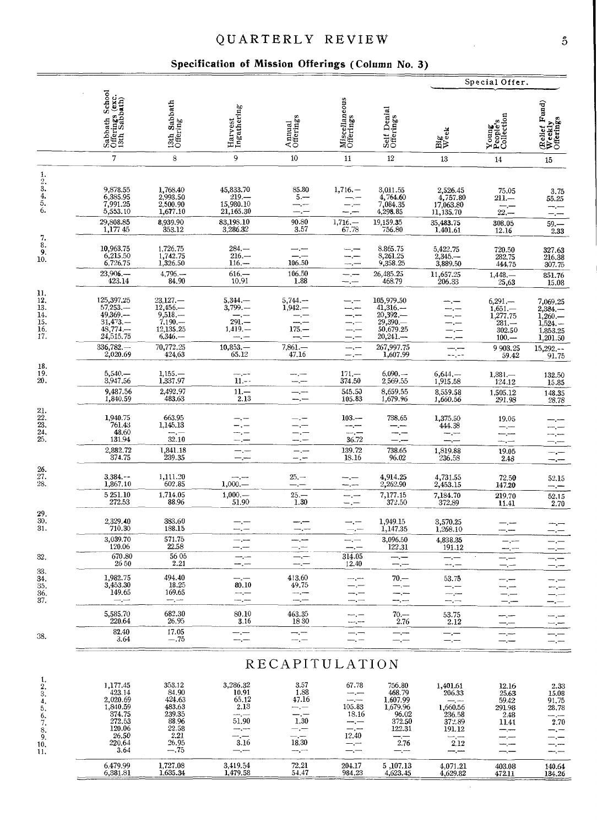## QUARTERLY REVIEW

#### Specification of Mission Offerings (Column No. 3)

|                                                                  |                                                                                                     |                                                                                          |                                                                             |                                                                                       |                                                        |                                                                                            | Special Offer.                                                                          |                                                                           |                                                                        |  |  |  |  |
|------------------------------------------------------------------|-----------------------------------------------------------------------------------------------------|------------------------------------------------------------------------------------------|-----------------------------------------------------------------------------|---------------------------------------------------------------------------------------|--------------------------------------------------------|--------------------------------------------------------------------------------------------|-----------------------------------------------------------------------------------------|---------------------------------------------------------------------------|------------------------------------------------------------------------|--|--|--|--|
|                                                                  | Sabbath School<br>Offerings (exc.<br>13th Sabbath)                                                  | Sabbath<br>13th Sab<br>Offering                                                          | Harvest<br>Ingathering                                                      | Annual<br>Offerings                                                                   | Miscellaneous<br>Offerings                             | Self Denial<br>Offerings                                                                   | xeek<br>Ξ₿                                                                              | Young<br>People's<br>Collection                                           | Relief Fund)<br>Weekly<br>Offerings                                    |  |  |  |  |
|                                                                  | $\overline{7}$                                                                                      | $\,$ 8 $\,$                                                                              | 9                                                                           | 10                                                                                    | 11                                                     | 12                                                                                         | 13                                                                                      | 14                                                                        | 15                                                                     |  |  |  |  |
| $\frac{1}{2}$ ; $\frac{3}{4}$ ; $\frac{4}{5}$ .<br>6.            | 9,878.55<br>6,385.95<br>7,991.25<br>5,553.10<br>29,808.85                                           | 1,768.40<br>2,993.50<br>2,500.90<br>1,677.10<br>8,939.90                                 | 45,833.70<br>$219-$<br>15,980.10<br>21,165.30<br>83,198.10                  | 85.80<br>$5 -$<br>-.--<br>90.80                                                       | 1,716.<br>$1,716, -$                                   | 3,011.55<br>4,764.60<br>7,084.35<br>4,298.85<br>19,159.35                                  | 2,526.45<br>4,757.80<br>17,063.80<br>11,135.70<br>35,483.75                             | 75.05<br>$211-$<br>$\overline{22}$ .<br>308.05                            | 3.75<br>55.25<br>$-$ . $-$<br>$59 -$                                   |  |  |  |  |
| 7.                                                               | 1,17745                                                                                             | 353.12                                                                                   | 3,286.32                                                                    | 3.57                                                                                  | 67.78                                                  | 756.80                                                                                     | 1.401.61                                                                                | 12.16                                                                     | 2.33                                                                   |  |  |  |  |
| $\overline{\overset{8}{9}}$ .<br>10.                             | 10,963.75<br>6,215.50<br>6,726.75<br>23,906.                                                        | 1,726.75<br>1,742.75<br>1,326.50                                                         | $284. -$<br>$216-$<br>$116 -$                                               | 106.50<br>106.50                                                                      |                                                        | 8.865.75<br>8,261.25<br>9,358.25                                                           | 5,422.75<br>$2,345-$<br>3,889.50                                                        | $\begin{array}{c} 720.50 \\ 282.75 \end{array}$<br>444,75                 | 327.63<br>216.38<br>307.75                                             |  |  |  |  |
|                                                                  | 423.14                                                                                              | $4,796-$<br>84.90                                                                        | $616 -$<br>10.91                                                            | 1.88                                                                                  |                                                        | 26,485.25<br>468.79                                                                        | 11,657.25<br>206.33                                                                     | $1,448-$<br>25,63                                                         | 851.76<br>15.08                                                        |  |  |  |  |
| 11.<br>$\frac{12}{13}$<br>14.<br>$\frac{15}{16}$<br>17.          | 125,397.25<br>57,253.-<br>49,369<br>$31,473-$<br>$48,774,-$<br>24,515.75                            | $^{23,127,-}_{12,456,-}$<br>$9,518-$<br>$7.190 -$<br>12,135.25<br>$6,346-$               | $5,344. -$<br>3,799.<br>$291 -$<br>$1,419, -$                               | $5,744-$<br>$1,942-$<br>$175 -$                                                       |                                                        | $\frac{105,979.50}{41,316}$<br>20,392.<br>29,390.<br>50,679.25<br>$20,241-$                |                                                                                         | $6,291-$<br>$1,651-1,277.75$<br>$281 -$<br>302.50<br>$100 -$              | 7,069.25<br>2,384.-<br>$1,260-$<br>1,524.<br>1,853.25<br>1,201.50      |  |  |  |  |
|                                                                  | $336,782-$<br>2,020.69                                                                              | 70,772.25<br>424,63                                                                      | 10,853.<br>65.12                                                            | $7,861-$<br>47.16                                                                     | ----<br>—.—                                            | 267,997.75<br>1,607.99                                                                     | --,--                                                                                   | 9 903.25<br>59.42                                                         | $15,292--$<br>91.75                                                    |  |  |  |  |
| 18.<br>19.<br>20.                                                | $5,540-$<br>3,947.56                                                                                | $1,155-$<br>1,337.97                                                                     | $11 - -$                                                                    | --                                                                                    | $\begin{array}{c} 171.-\phantom{.0}374.50 \end{array}$ | 6,090.<br>2,569.55                                                                         | $6,644-$<br>1,915.58                                                                    | $1,381-$<br>124.12                                                        | 132.50<br>15.85                                                        |  |  |  |  |
|                                                                  | 9,487.56<br>1,840.59                                                                                | 2,492.97<br>483.63                                                                       | $11 -$<br>2.13                                                              | $-$                                                                                   | 545.50<br>105.83                                       | 8,659.55<br>1,679.96                                                                       | 8,559.58<br>1,660.56                                                                    | $\frac{1,505.12}{291.98}$                                                 | 148.35<br>28.78                                                        |  |  |  |  |
| $\begin{array}{c} 21.22.23 \ 23.24.25. \end{array}$              | 1,940.75<br>761.43<br>48.60<br>131.94                                                               | 663.95<br>1,145.13<br>$\cdots$<br>32.10                                                  |                                                                             |                                                                                       | $103 -$<br>$\overline{\phantom{m}}$<br>36.72           | 738.65                                                                                     | 1,375.50<br>444.38<br>سيست                                                              | 19.05<br>—. <sub>.</sub><br>مدرد                                          |                                                                        |  |  |  |  |
|                                                                  | 2,882.72<br>374.75                                                                                  | 1,841.18<br>239.35                                                                       | $-,-$                                                                       | $-,-$<br>--.-                                                                         | 139.72<br>18.16                                        | 738.65<br>96.02                                                                            | 1,819.88<br>236.58                                                                      | 19.05                                                                     |                                                                        |  |  |  |  |
| $\frac{26}{27}$ .<br>28.                                         | $3,384. -$<br>1,867.10                                                                              | 1,111.20<br>602.85                                                                       | ---<br>1,000.                                                               | $25 -$                                                                                |                                                        | 4,914.25<br>2,262.90                                                                       | 4,731.55<br>2,453.15                                                                    | 2.48<br>72.50<br>147.20                                                   | -.—<br>52.15<br>—.—                                                    |  |  |  |  |
|                                                                  | 5 251.10<br>272.53                                                                                  | 1,714.05<br>88.96                                                                        | $1,000, -$<br>51.90                                                         | $25 -$<br>$1.30\,$                                                                    | --.-<br>$-$ . $-$                                      | 7,177.15<br>372.50                                                                         | 7,184.70<br>372,89                                                                      | 219.70<br>11.41                                                           | 52.15<br>2.70                                                          |  |  |  |  |
| $\frac{29}{30}$ .<br>31.                                         | 2,329.40<br>710.30                                                                                  | 383.60<br>188.15                                                                         | — . —                                                                       | --                                                                                    | –.—                                                    | 1,949.15<br>1,147.35                                                                       | 3,570.25<br>1,268.10                                                                    |                                                                           |                                                                        |  |  |  |  |
|                                                                  | 3,039.70<br>120.06                                                                                  | 571.75<br>22.58                                                                          |                                                                             |                                                                                       |                                                        | 3,096.50<br>122.31                                                                         | 4,838.35<br>191.12                                                                      | ----                                                                      |                                                                        |  |  |  |  |
| 32.                                                              | 670.80<br>26 50                                                                                     | 56 05<br>2.21                                                                            | $-,-$<br>---                                                                | $-,-$<br>$-$ . $-$                                                                    | 314.05<br>12.40                                        | ---                                                                                        | $-\,$                                                                                   |                                                                           |                                                                        |  |  |  |  |
| 33.<br>34.<br>35.<br>36.<br>37.                                  | 1.982.75<br>3,453.30<br>149.65<br>—.—                                                               | 494.40<br>18.25<br>169.65<br>— —                                                         | 80.10<br>—.—                                                                | 413.60<br>49.75<br>--.--<br>---                                                       | -,—<br>-.—                                             | $70 -$<br>---<br>--.--<br>--.--                                                            | 53.75<br>---<br>سيست                                                                    | —.—                                                                       | ---                                                                    |  |  |  |  |
|                                                                  | 5,585.70<br>220.64                                                                                  | 682.30<br>26.95                                                                          | 80.10<br>3.16                                                               | 463.35<br>1830                                                                        | — .—                                                   | $70 -$<br>2.76                                                                             | 53.75<br>2.12                                                                           | ---                                                                       |                                                                        |  |  |  |  |
| 38.                                                              | 82.40<br>3.64                                                                                       | 17.05<br>$-.75$                                                                          | --.--<br>--.--                                                              | —.—<br>—.—                                                                            | —. —                                                   | —.—<br><sub>.</sub>                                                                        | —,—<br>$-,-$                                                                            | —,<br>---<br>$-,-$                                                        | –.—                                                                    |  |  |  |  |
|                                                                  |                                                                                                     |                                                                                          |                                                                             | RECAPITULATION                                                                        |                                                        |                                                                                            |                                                                                         |                                                                           |                                                                        |  |  |  |  |
| 1.<br>2.<br>3.<br>4.<br>5.<br>6.<br>7.<br>8.<br>9.<br>10.<br>11. | 1,177.45<br>423.14<br>2,020.69<br>1,840.59<br>374.75<br>272.53<br>120.06<br>26.50<br>220.64<br>3.64 | 353.12<br>84.90<br>424.63<br>483.63<br>239.35<br>88.96<br>22.58<br>2.21<br>26.95<br>—.75 | 3,286.32<br>10.91<br>65.12<br>2.13<br>— .—<br>51.90<br>---<br>لتسرب<br>3.16 | 3.57<br>1.88<br>47.16<br>$-,-$<br>-.-<br>1.30<br>—.—<br>-.---<br>18.30<br>مسمور سيبيد | 67.78<br>—,—<br>105.83<br>18.16<br>--.--<br>12.40      | 756.80<br>468.79<br>1,607.99<br>1,679.96<br>96.02<br>372.50<br>122.31<br>-.-<br>2.76<br>-- | 1,401.61<br>206.33<br>— . -<br>1,660.56<br>236.58<br>372.89<br>191.12<br>سندرجت<br>2.12 | 12.16<br>25.63<br>59.42<br>291.98<br>2.48<br>11.41<br>--<br>ببرسة<br>سيسب | 2.33<br>15.08<br>91.75<br>28.78<br>سندرست<br>2.70<br>-.-<br>-.—<br>–.— |  |  |  |  |

 $72.21$ <br>54.47

 $\frac{204.17}{984.23}$ 

 $\frac{5,107.13}{4,623.45}$ 

 $\overline{4,071.21}$ <br> $\overline{4,629.82}$ 

 $\frac{403.08}{472.11}$ 

 $\frac{140.64}{134.26}$ 

 $\frac{3,419.54}{1,479.58}$ 

 $6,479.99$ <br> $6,381.81$ 

 $\frac{1,727.08}{1,635.34}$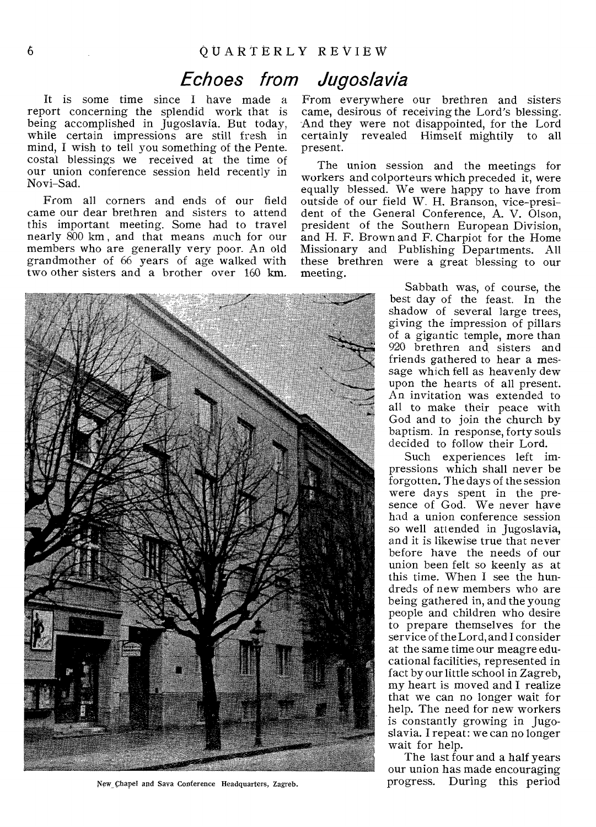# Echoes from Jugoslavia

It is some time since I have made a report concerning the splendid work that is being accomplished in Jugoslavia. But today, while certain impressions are still fresh in mind, I wish to tell you something of the Pentecostal blessings we received at the time of our union conference session held recently in Novi-Sad.

From all corners and ends of our field came our dear brethren and sisters to attend this important meeting. Some had to travel nearly 800 km , and that means much for our members who are generally very poor. An old grandmother of 66 years of age walked with two other sisters and a brother over 160 km.



New Chapel and Sava Conference Headquarters, Zagreb.

From everywhere our brethren and sisters came, desirous of receiving the Lord's blessing. And they were not disappointed, for the Lord certainly revealed Himself mightily to all present.

The union session and the meetings for workers and colporteurs which preceded it, were equally blessed. We were happy to have from outside of our field W. H. Branson, vice-president of the General Conference, A. V. Olson, president of the Southern European Division, and H. F. Brown and F. Charpiot for the Home Missionary and Publishing Departments. All these brethren were a great blessing to our meeting.

> Sabbath was, of course, the best day of the feast. In the shadow of several large trees, giving the impression of pillars of a gigantic temple, more than 920 brethren and sisters and friends gathered to hear a message which fell as heavenly dew upon the hearts of all present. An invitation was extended to all to make their peace with God and to join the church by baptism. In response, forty souls decided to follow their Lord.

> Such experiences left impressions which shall never be forgotten. The days of the session were days spent in the presence of God. We never have had a union conference session so well attended in Jugoslavia, and it is likewise true that never before have the needs of our union been felt so keenly as at this time. When I see the hundreds of new members who are being gathered in, and the young people and children who desire to prepare themselves for the service of the Lord, and I consider at the same time our meagre educational facilities, represented in fact by our little school in Zagreb, my heart is moved and I realize that we can no longer wait for help. The need for new workers is constantly growing in Jugoslavia. I repeat: we can no longer wait for help.

The last four and a half years our union has made encouraging progress. During this period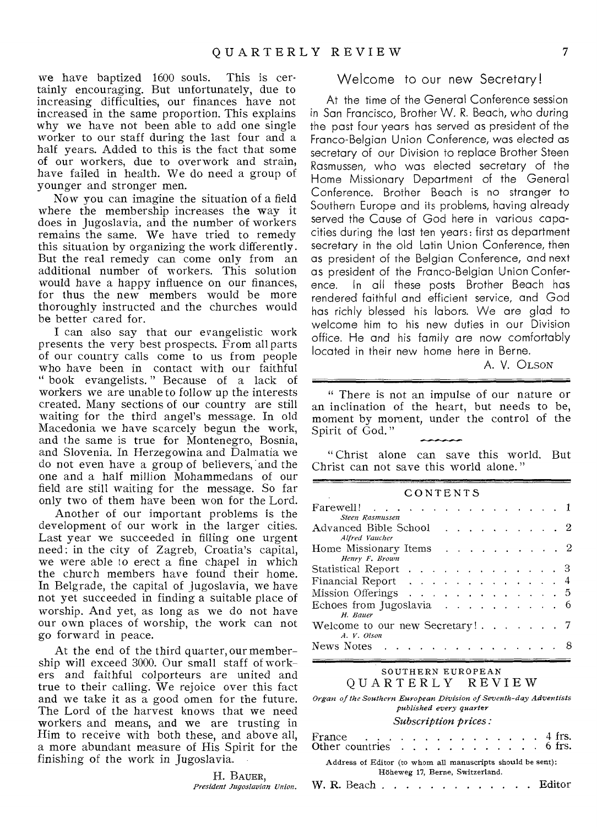we have baptized 1600 souls. This is certainly encouraging. But unfortunately, due to increasing difficulties, our finances have not increased in the same proportion. This explains why we have not been able to add one single worker to our staff during the last four and a half years. Added to this is the fact that some of our workers, due to overwork and strain, have failed in health. We do need a group of younger and stronger men.

Now you can imagine the situation of a field where the membership increases the way it does in Jugoslavia, and the number of workers remains the same. We have tried to remedy this situation by organizing the work differently. But the real remedy can come only from an additional number of workers. This solution would have a happy influence on our finances, for thus the new members would be more thoroughly instructed and the churches would be better cared for.

I can also say that our evangelistic work presents the very best prospects. From all parts of our country calls come to us from people who have been in contact with our faithful " book evangelists. " Because of a lack of workers we are unable to follow up the interests created. Many sections of our country are still waiting for the third angel's message. In old Macedonia we have scarcely begun the work, and the same is true for Montenegro, Bosnia, and Slovenia. In Herzegowina and Dalmatia we do not even have a group of believers, and the one and a half million Mohammedans of our field are still waiting for the message. So far only two of them have been won for the Lord.

Another of our important problems is the development of our work in the larger cities. Last year we succeeded in filling one urgent need : in the city of Zagreb, Croatia's capital, we were able to erect a fine chapel in which the church members have found their home. In Belgrade, the capital of Jugoslavia, we have not yet succeeded in finding a suitable place of worship. And yet, as long as we do not have our own places of worship, the work can not go forward in peace.

At the end of the third quarter, our membership will exceed 3000. Our small staff of workers and faithful colporteurs are united and true to their calling. We rejoice over this fact and we take it as a good omen for the future. The Lord of the harvest knows that we need workers and means, and we are trusting in Him to receive with both these, and above all, a more abundant measure of His Spirit for the finishing of the work in Jugoslavia.

> H. BAUER, *President Jugoslavian Union.*

#### Welcome to our new Secretary!

At the time of the General Conference session in San Francisco, Brother W. R. Beach, who during the past four years has served as president of the Franco-Belgian Union Conference, was elected as secretary of our Division to replace Brother Steen Rasmussen, who was elected secretary of the Home Missionary Department of the General Conference. Brother Beach is no stranger to Southern Europe and its problems, having already served the Cause of God here in various capacities during the last ten years: first as department secretary in the old Latin Union Conference, then as president of the Belgian Conference, and next as president of the Franco-Belgian Union Conference. In all these posts Brother Beach has rendered faithful and efficient service, and God has richly blessed his labors. We are glad to welcome him to his new duties in our Division office. He and his family are now comfortably located in their new home here in Berne.

A. V. OLSON

" There is not an impulse of our nature or an inclination of the heart, but needs to be, moment by moment, under the control of the Spirit of God."

••••••••••••••••11.••••••••••• " Christ alone can save this world. But Christ can not save this world alone. "

#### CONTENTS

| Farewell! 1                                                                                                                                                                                                                                  |  |  |  |  |  |  |  |  |  |  |  |  |
|----------------------------------------------------------------------------------------------------------------------------------------------------------------------------------------------------------------------------------------------|--|--|--|--|--|--|--|--|--|--|--|--|
| Steen Rasmussen                                                                                                                                                                                                                              |  |  |  |  |  |  |  |  |  |  |  |  |
| Advanced Bible School 2                                                                                                                                                                                                                      |  |  |  |  |  |  |  |  |  |  |  |  |
| Alfred Vaucher                                                                                                                                                                                                                               |  |  |  |  |  |  |  |  |  |  |  |  |
| Home Missionary Items $\ldots$ $\ldots$ $\ldots$ $\ldots$ 2<br>Henry F. Brown                                                                                                                                                                |  |  |  |  |  |  |  |  |  |  |  |  |
|                                                                                                                                                                                                                                              |  |  |  |  |  |  |  |  |  |  |  |  |
| Statistical Report 3                                                                                                                                                                                                                         |  |  |  |  |  |  |  |  |  |  |  |  |
| Financial Report 4                                                                                                                                                                                                                           |  |  |  |  |  |  |  |  |  |  |  |  |
| Mission Offerings $\ldots$ $\ldots$ $\ldots$ $\ldots$ $\ldots$ 5                                                                                                                                                                             |  |  |  |  |  |  |  |  |  |  |  |  |
| Echoes from Jugoslavia $\ldots$ , $\ldots$ , $\ldots$                                                                                                                                                                                        |  |  |  |  |  |  |  |  |  |  |  |  |
| H. Bauer                                                                                                                                                                                                                                     |  |  |  |  |  |  |  |  |  |  |  |  |
| A. V. Olson                                                                                                                                                                                                                                  |  |  |  |  |  |  |  |  |  |  |  |  |
| News Notes<br>and the contract of the contract of the contract of the contract of the contract of the contract of the contract of the contract of the contract of the contract of the contract of the contract of the contract of the contra |  |  |  |  |  |  |  |  |  |  |  |  |

#### SOUTHERN EUROPEAN QUARTERLY REVIEW

*Organ of the Southern European Division of Seventh-day Adventists published every quarter* 

#### *Subscription prices :*

| France $\ldots$ $\ldots$ $\ldots$ $\ldots$ $\ldots$ $\ldots$ 4 frs.<br>Other countries $\ldots$ , $\ldots$ , $\ldots$ , $\ldots$ , 6 frs. |  |  |  |  |  |  |  |  |  |  |  |  |  |  |  |  |
|-------------------------------------------------------------------------------------------------------------------------------------------|--|--|--|--|--|--|--|--|--|--|--|--|--|--|--|--|
| Address of Editor (to whom all manuscripts should be sent):<br>Höheweg 17, Berne, Switzerland.                                            |  |  |  |  |  |  |  |  |  |  |  |  |  |  |  |  |